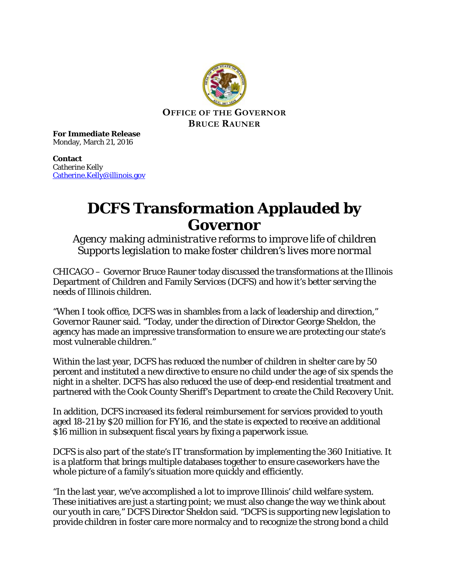

**For Immediate Release** Monday, March 21, 2016

**Contact** Catherine Kelly [Catherine.Kelly@illinois.gov](mailto:Catherine.Kelly@illinois.gov)

## **DCFS Transformation Applauded by Governor**

*Agency making administrative reforms to improve life of children Supports legislation to make foster children's lives more normal*

CHICAGO – Governor Bruce Rauner today discussed the transformations at the Illinois Department of Children and Family Services (DCFS) and how it's better serving the needs of Illinois children.

"When I took office, DCFS was in shambles from a lack of leadership and direction," Governor Rauner said. "Today, under the direction of Director George Sheldon, the agency has made an impressive transformation to ensure we are protecting our state's most vulnerable children."

Within the last year, DCFS has reduced the number of children in shelter care by 50 percent and instituted a new directive to ensure no child under the age of six spends the night in a shelter. DCFS has also reduced the use of deep-end residential treatment and partnered with the Cook County Sheriff's Department to create the Child Recovery Unit.

In addition, DCFS increased its federal reimbursement for services provided to youth aged 18-21 by \$20 million for FY16, and the state is expected to receive an additional \$16 million in subsequent fiscal years by fixing a paperwork issue.

DCFS is also part of the state's IT transformation by implementing the 360 Initiative. It is a platform that brings multiple databases together to ensure caseworkers have the whole picture of a family's situation more quickly and efficiently.

"In the last year, we've accomplished a lot to improve Illinois' child welfare system. These initiatives are just a starting point; we must also change the way we think about our youth in care," DCFS Director Sheldon said. "DCFS is supporting new legislation to provide children in foster care more normalcy and to recognize the strong bond a child